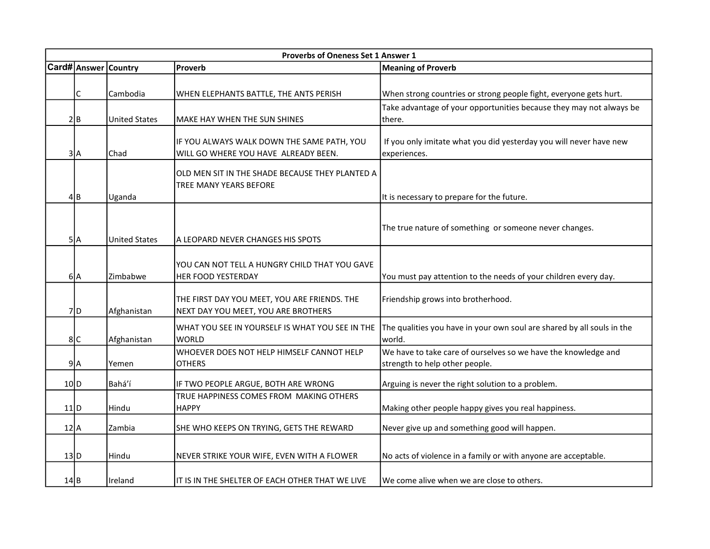|      | Proverbs of Oneness Set 1 Answer 1 |                             |                                                                                    |                                                                                    |  |
|------|------------------------------------|-----------------------------|------------------------------------------------------------------------------------|------------------------------------------------------------------------------------|--|
|      |                                    | <b>Card# Answer Country</b> | Proverb                                                                            | <b>Meaning of Proverb</b>                                                          |  |
|      |                                    |                             |                                                                                    |                                                                                    |  |
|      | C                                  | Cambodia                    | WHEN ELEPHANTS BATTLE, THE ANTS PERISH                                             | When strong countries or strong people fight, everyone gets hurt.                  |  |
|      |                                    |                             |                                                                                    | Take advantage of your opportunities because they may not always be                |  |
|      | 2 B                                | <b>United States</b>        | MAKE HAY WHEN THE SUN SHINES                                                       | there.                                                                             |  |
|      |                                    |                             |                                                                                    |                                                                                    |  |
|      | 3 A                                | Chad                        | IF YOU ALWAYS WALK DOWN THE SAME PATH, YOU<br>WILL GO WHERE YOU HAVE ALREADY BEEN. | If you only imitate what you did yesterday you will never have new<br>experiences. |  |
|      |                                    |                             |                                                                                    |                                                                                    |  |
|      |                                    |                             | OLD MEN SIT IN THE SHADE BECAUSE THEY PLANTED A                                    |                                                                                    |  |
|      |                                    |                             | <b>TREE MANY YEARS BEFORE</b>                                                      |                                                                                    |  |
|      | 4lB                                | Uganda                      |                                                                                    | It is necessary to prepare for the future.                                         |  |
|      |                                    |                             |                                                                                    |                                                                                    |  |
|      |                                    |                             |                                                                                    | The true nature of something or someone never changes.                             |  |
|      | 5 A                                | <b>United States</b>        | A LEOPARD NEVER CHANGES HIS SPOTS                                                  |                                                                                    |  |
|      |                                    |                             |                                                                                    |                                                                                    |  |
|      |                                    |                             | YOU CAN NOT TELL A HUNGRY CHILD THAT YOU GAVE                                      |                                                                                    |  |
|      | 6A                                 | Zimbabwe                    | HER FOOD YESTERDAY                                                                 | You must pay attention to the needs of your children every day.                    |  |
|      |                                    |                             | THE FIRST DAY YOU MEET, YOU ARE FRIENDS. THE                                       | Friendship grows into brotherhood.                                                 |  |
|      | $7$ D                              | Afghanistan                 | NEXT DAY YOU MEET, YOU ARE BROTHERS                                                |                                                                                    |  |
|      |                                    |                             | WHAT YOU SEE IN YOURSELF IS WHAT YOU SEE IN THE                                    | The qualities you have in your own soul are shared by all souls in the             |  |
|      | 8C                                 | Afghanistan                 | <b>WORLD</b>                                                                       | world.                                                                             |  |
|      |                                    |                             | WHOEVER DOES NOT HELP HIMSELF CANNOT HELP                                          | We have to take care of ourselves so we have the knowledge and                     |  |
|      | 9A                                 | Yemen                       | <b>OTHERS</b>                                                                      | strength to help other people.                                                     |  |
|      |                                    |                             |                                                                                    |                                                                                    |  |
| 10 D |                                    | Bahá'í                      | IF TWO PEOPLE ARGUE, BOTH ARE WRONG                                                | Arguing is never the right solution to a problem.                                  |  |
|      |                                    |                             | TRUE HAPPINESS COMES FROM MAKING OTHERS                                            |                                                                                    |  |
| 11 D |                                    | Hindu                       | <b>HAPPY</b>                                                                       | Making other people happy gives you real happiness.                                |  |
| 12 A |                                    | Zambia                      | SHE WHO KEEPS ON TRYING, GETS THE REWARD                                           | Never give up and something good will happen.                                      |  |
|      |                                    |                             |                                                                                    |                                                                                    |  |
| 13 D |                                    | Hindu                       | NEVER STRIKE YOUR WIFE, EVEN WITH A FLOWER                                         | No acts of violence in a family or with anyone are acceptable.                     |  |
|      |                                    |                             |                                                                                    |                                                                                    |  |
| 14 B |                                    | Ireland                     | IT IS IN THE SHELTER OF EACH OTHER THAT WE LIVE                                    | We come alive when we are close to others.                                         |  |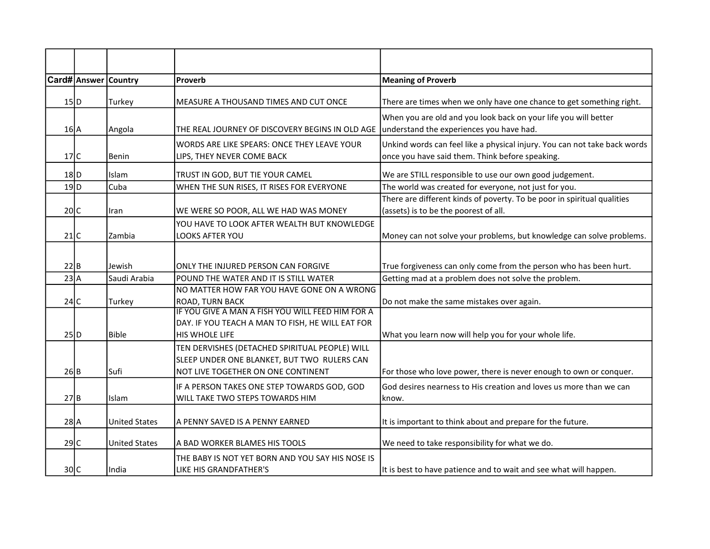|                   | <b>Card# Answer Country</b> |                      | Proverb                                                                                                                             | <b>Meaning of Proverb</b>                                                                                                    |
|-------------------|-----------------------------|----------------------|-------------------------------------------------------------------------------------------------------------------------------------|------------------------------------------------------------------------------------------------------------------------------|
| 15 D              |                             | Turkey               | MEASURE A THOUSAND TIMES AND CUT ONCE                                                                                               | There are times when we only have one chance to get something right.                                                         |
| $16$ <sup>A</sup> |                             | Angola               | THE REAL JOURNEY OF DISCOVERY BEGINS IN OLD AGE                                                                                     | When you are old and you look back on your life you will better<br>understand the experiences you have had.                  |
| 17C               |                             | Benin                | WORDS ARE LIKE SPEARS: ONCE THEY LEAVE YOUR<br>LIPS, THEY NEVER COME BACK                                                           | Unkind words can feel like a physical injury. You can not take back words<br>once you have said them. Think before speaking. |
| $18$ D            |                             | Islam                | TRUST IN GOD, BUT TIE YOUR CAMEL                                                                                                    | We are STILL responsible to use our own good judgement.                                                                      |
| $19$ <sub>D</sub> |                             | Cuba                 | WHEN THE SUN RISES, IT RISES FOR EVERYONE                                                                                           | The world was created for everyone, not just for you.                                                                        |
| 20 C              |                             | Iran                 | WE WERE SO POOR, ALL WE HAD WAS MONEY                                                                                               | There are different kinds of poverty. To be poor in spiritual qualities<br>(assets) is to be the poorest of all.             |
| $21$ C            |                             | Zambia               | YOU HAVE TO LOOK AFTER WEALTH BUT KNOWLEDGE<br>LOOKS AFTER YOU                                                                      | Money can not solve your problems, but knowledge can solve problems.                                                         |
| 22 B              |                             | Jewish               | ONLY THE INJURED PERSON CAN FORGIVE                                                                                                 | True forgiveness can only come from the person who has been hurt.                                                            |
| 23A               |                             | Saudi Arabia         | POUND THE WATER AND IT IS STILL WATER                                                                                               | Getting mad at a problem does not solve the problem.                                                                         |
| 24C               |                             | Turkey               | NO MATTER HOW FAR YOU HAVE GONE ON A WRONG<br><b>ROAD, TURN BACK</b><br>IF YOU GIVE A MAN A FISH YOU WILL FEED HIM FOR A            | Do not make the same mistakes over again.                                                                                    |
| 25 D              |                             | <b>Bible</b>         | DAY. IF YOU TEACH A MAN TO FISH, HE WILL EAT FOR<br><b>HIS WHOLE LIFE</b>                                                           | What you learn now will help you for your whole life.                                                                        |
| 26 B              |                             | Sufi                 | TEN DERVISHES (DETACHED SPIRITUAL PEOPLE) WILL<br>SLEEP UNDER ONE BLANKET, BUT TWO RULERS CAN<br>NOT LIVE TOGETHER ON ONE CONTINENT | For those who love power, there is never enough to own or conquer.                                                           |
| 27 B              |                             | Islam                | IF A PERSON TAKES ONE STEP TOWARDS GOD, GOD<br><b>WILL TAKE TWO STEPS TOWARDS HIM</b>                                               | God desires nearness to His creation and loves us more than we can<br>know.                                                  |
| $28$ $A$          |                             | <b>United States</b> | A PENNY SAVED IS A PENNY EARNED                                                                                                     | It is important to think about and prepare for the future.                                                                   |
| 29C               |                             | <b>United States</b> | A BAD WORKER BLAMES HIS TOOLS                                                                                                       | We need to take responsibility for what we do.                                                                               |
| 30 C              |                             | India                | THE BABY IS NOT YET BORN AND YOU SAY HIS NOSE IS<br>LIKE HIS GRANDFATHER'S                                                          | It is best to have patience and to wait and see what will happen.                                                            |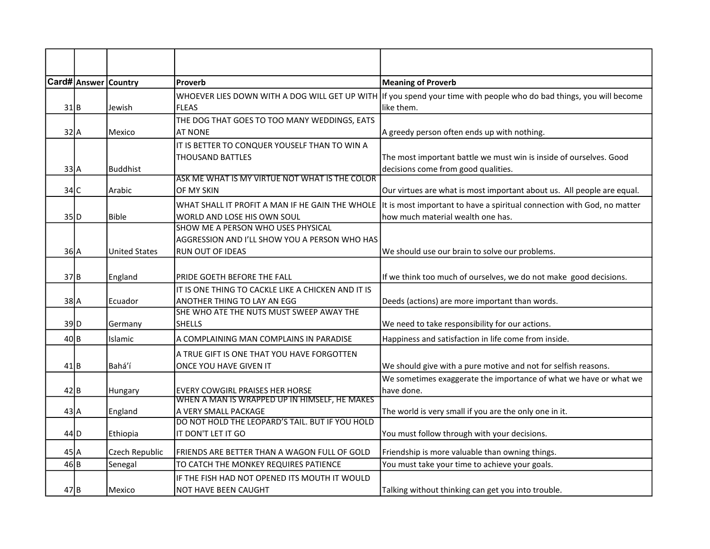|                   | Card# Answer Country |                      | Proverb                                                                                                        | <b>Meaning of Proverb</b>                                                                                                         |
|-------------------|----------------------|----------------------|----------------------------------------------------------------------------------------------------------------|-----------------------------------------------------------------------------------------------------------------------------------|
| 31 B              |                      | Jewish               | <b>FLEAS</b>                                                                                                   | WHOEVER LIES DOWN WITH A DOG WILL GET UP WITH If you spend your time with people who do bad things, you will become<br>like them. |
| 32 A              |                      | Mexico               | THE DOG THAT GOES TO TOO MANY WEDDINGS, EATS<br><b>AT NONE</b>                                                 | A greedy person often ends up with nothing.                                                                                       |
| 33 A              |                      | <b>Buddhist</b>      | IT IS BETTER TO CONQUER YOUSELF THAN TO WIN A<br><b>THOUSAND BATTLES</b>                                       | The most important battle we must win is inside of ourselves. Good<br>decisions come from good qualities.                         |
| 34 C              |                      | Arabic               | ASK ME WHAT IS MY VIRTUE NOT WHAT IS THE COLOR<br>OF MY SKIN                                                   | Our virtues are what is most important about us. All people are equal.                                                            |
| 35 D              |                      | <b>Bible</b>         | WHAT SHALL IT PROFIT A MAN IF HE GAIN THE WHOLE<br>WORLD AND LOSE HIS OWN SOUL                                 | It is most important to have a spiritual connection with God, no matter<br>how much material wealth one has.                      |
| $36$ $A$          |                      | <b>United States</b> | SHOW ME A PERSON WHO USES PHYSICAL<br>AGGRESSION AND I'LL SHOW YOU A PERSON WHO HAS<br><b>RUN OUT OF IDEAS</b> | We should use our brain to solve our problems.                                                                                    |
| 37B               |                      | England              | PRIDE GOETH BEFORE THE FALL                                                                                    | If we think too much of ourselves, we do not make good decisions.                                                                 |
| $38$ $A$          |                      | Ecuador              | IT IS ONE THING TO CACKLE LIKE A CHICKEN AND IT IS<br>ANOTHER THING TO LAY AN EGG                              | Deeds (actions) are more important than words.                                                                                    |
| 39D               |                      | Germany              | SHE WHO ATE THE NUTS MUST SWEEP AWAY THE<br><b>SHELLS</b>                                                      | We need to take responsibility for our actions.                                                                                   |
| 40 B              |                      | Islamic              | A COMPLAINING MAN COMPLAINS IN PARADISE                                                                        | Happiness and satisfaction in life come from inside.                                                                              |
| $41$ B            |                      | Bahá'í               | A TRUE GIFT IS ONE THAT YOU HAVE FORGOTTEN<br>ONCE YOU HAVE GIVEN IT                                           | We should give with a pure motive and not for selfish reasons.                                                                    |
| 42 B              |                      | Hungary              | <b>EVERY COWGIRL PRAISES HER HORSE</b><br>WHEN A MAN IS WRAPPED UP IN HIMSELF, HE MAKES                        | We sometimes exaggerate the importance of what we have or what we<br>have done.                                                   |
| 43 A              |                      | England              | A VERY SMALL PACKAGE<br>DO NOT HOLD THE LEOPARD'S TAIL. BUT IF YOU HOLD                                        | The world is very small if you are the only one in it.                                                                            |
| $44$ D            |                      | Ethiopia             | IT DON'T LET IT GO                                                                                             | You must follow through with your decisions.                                                                                      |
| $45$ <sup>A</sup> |                      | Czech Republic       | FRIENDS ARE BETTER THAN A WAGON FULL OF GOLD                                                                   | Friendship is more valuable than owning things.                                                                                   |
| 46 B              |                      | Senegal              | TO CATCH THE MONKEY REQUIRES PATIENCE                                                                          | You must take your time to achieve your goals.                                                                                    |
| $47$ B            |                      | Mexico               | IF THE FISH HAD NOT OPENED ITS MOUTH IT WOULD<br><b>NOT HAVE BEEN CAUGHT</b>                                   | Talking without thinking can get you into trouble.                                                                                |